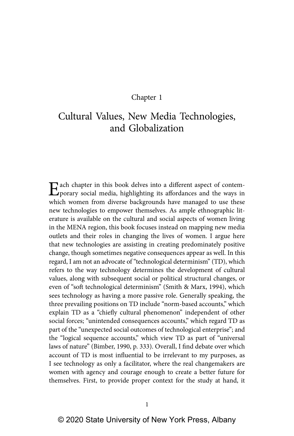## Chapter 1

# Cultural Values, New Media Technologies, and Globalization

Each chapter in this book delves into a different aspect of contem-porary social media, highlighting its affordances and the ways in which women from diverse backgrounds have managed to use these new technologies to empower themselves. As ample ethnographic literature is available on the cultural and social aspects of women living in the MENA region, this book focuses instead on mapping new media outlets and their roles in changing the lives of women. I argue here that new technologies are assisting in creating predominately positive change, though sometimes negative consequences appear as well. In this regard, I am not an advocate of "technological determinism" (TD), which refers to the way technology determines the development of cultural values, along with subsequent social or political structural changes, or even of "soft technological determinism" (Smith & Marx, 1994), which sees technology as having a more passive role. Generally speaking, the three prevailing positions on TD include "norm-based accounts," which explain TD as a "chiefly cultural phenomenon" independent of other social forces; "unintended consequences accounts," which regard TD as part of the "unexpected social outcomes of technological enterprise"; and the "logical sequence accounts," which view TD as part of "universal laws of nature" (Bimber, 1990, p. 333). Overall, I find debate over which account of TD is most influential to be irrelevant to my purposes, as I see technology as only a facilitator, where the real changemakers are women with agency and courage enough to create a better future for themselves. First, to provide proper context for the study at hand, it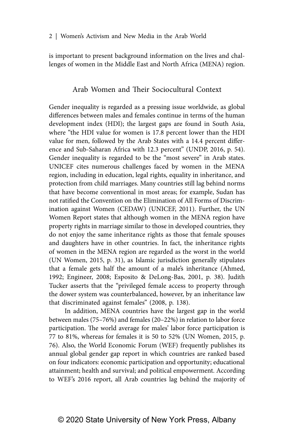is important to present background information on the lives and challenges of women in the Middle East and North Africa (MENA) region.

## Arab Women and Their Sociocultural Context

Gender inequality is regarded as a pressing issue worldwide, as global differences between males and females continue in terms of the human development index (HDI); the largest gaps are found in South Asia, where "the HDI value for women is 17.8 percent lower than the HDI value for men, followed by the Arab States with a 14.4 percent difference and Sub-Saharan Africa with 12.3 percent" (UNDP, 2016, p. 54). Gender inequality is regarded to be the "most severe" in Arab states. UNICEF cites numerous challenges faced by women in the MENA region, including in education, legal rights, equality in inheritance, and protection from child marriages. Many countries still lag behind norms that have become conventional in most areas; for example, Sudan has not ratified the Convention on the Elimination of All Forms of Discrimination against Women (CEDAW) (UNICEF, 2011). Further, the UN Women Report states that although women in the MENA region have property rights in marriage similar to those in developed countries, they do not enjoy the same inheritance rights as those that female spouses and daughters have in other countries. In fact, the inheritance rights of women in the MENA region are regarded as the worst in the world (UN Women, 2015, p. 31), as Islamic jurisdiction generally stipulates that a female gets half the amount of a male's inheritance (Ahmed, 1992; Engineer, 2008; Esposito & DeLong-Bas, 2001, p. 38). Judith Tucker asserts that the "privileged female access to property through the dower system was counterbalanced, however, by an inheritance law that discriminated against females" (2008, p. 138).

In addition, MENA countries have the largest gap in the world between males (75–76%) and females (20–22%) in relation to labor force participation. The world average for males' labor force participation is 77 to 81%, whereas for females it is 50 to 52% (UN Women, 2015, p. 76). Also, the World Economic Forum (WEF) frequently publishes its annual global gender gap report in which countries are ranked based on four indicators: economic participation and opportunity; educational attainment; health and survival; and political empowerment. According to WEF's 2016 report, all Arab countries lag behind the majority of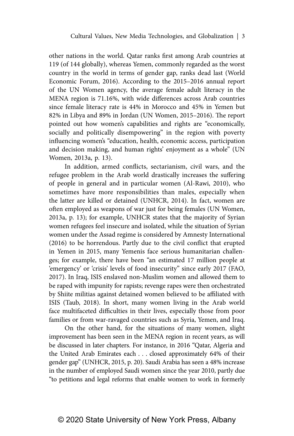other nations in the world. Qatar ranks first among Arab countries at 119 (of 144 globally), whereas Yemen, commonly regarded as the worst country in the world in terms of gender gap, ranks dead last (World Economic Forum, 2016). According to the 2015–2016 annual report of the UN Women agency, the average female adult literacy in the MENA region is 71.16%, with wide differences across Arab countries since female literacy rate is 44% in Morocco and 45% in Yemen but 82% in Libya and 89% in Jordan (UN Women, 2015–2016). The report pointed out how women's capabilities and rights are "economically, socially and politically disempowering" in the region with poverty influencing women's "education, health, economic access, participation and decision making, and human rights' enjoyment as a whole" (UN Women, 2013a, p. 13).

In addition, armed conflicts, sectarianism, civil wars, and the refugee problem in the Arab world drastically increases the suffering of people in general and in particular women (Al-Rawi, 2010), who sometimes have more responsibilities than males, especially when the latter are killed or detained (UNHCR, 2014). In fact, women are often employed as weapons of war just for being females (UN Women, 2013a, p. 13); for example, UNHCR states that the majority of Syrian women refugees feel insecure and isolated, while the situation of Syrian women under the Assad regime is considered by Amnesty International (2016) to be horrendous. Partly due to the civil conflict that erupted in Yemen in 2015, many Yemenis face serious humanitarian challenges; for example, there have been "an estimated 17 million people at 'emergency' or 'crisis' levels of food insecurity" since early 2017 (FAO, 2017). In Iraq, ISIS enslaved non-Muslim women and allowed them to be raped with impunity for rapists; revenge rapes were then orchestrated by Shiite militias against detained women believed to be affiliated with ISIS (Taub, 2018). In short, many women living in the Arab world face multifaceted difficulties in their lives, especially those from poor families or from war-ravaged countries such as Syria, Yemen, and Iraq.

On the other hand, for the situations of many women, slight improvement has been seen in the MENA region in recent years, as will be discussed in later chapters. For instance, in 2016 "Qatar, Algeria and the United Arab Emirates each . . . closed approximately 64% of their gender gap" (UNHCR, 2015, p. 20). Saudi Arabia has seen a 48% increase in the number of employed Saudi women since the year 2010, partly due "to petitions and legal reforms that enable women to work in formerly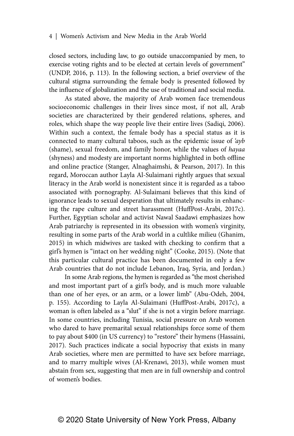closed sectors, including law, to go outside unaccompanied by men, to exercise voting rights and to be elected at certain levels of government" (UNDP, 2016, p. 113). In the following section, a brief overview of the cultural stigma surrounding the female body is presented followed by the influence of globalization and the use of traditional and social media.

As stated above, the majority of Arab women face tremendous socioeconomic challenges in their lives since most, if not all, Arab societies are characterized by their gendered relations, spheres, and roles, which shape the way people live their entire lives (Sadiqi, 2006). Within such a context, the female body has a special status as it is connected to many cultural taboos, such as the epidemic issue of *'ayb* (shame), sexual freedom, and family honor, while the values of *hayaa* (shyness) and modesty are important norms highlighted in both offline and online practice (Stanger, Alnaghaimshi, & Pearson, 2017). In this regard, Moroccan author Layla Al-Sulaimani rightly argues that sexual literacy in the Arab world is nonexistent since it is regarded as a taboo associated with pornography. Al-Sulaimani believes that this kind of ignorance leads to sexual desperation that ultimately results in enhancing the rape culture and street harassment (HuffPost-Arabi, 2017c). Further, Egyptian scholar and activist Nawal Saadawi emphasizes how Arab patriarchy is represented in its obsession with women's virginity, resulting in some parts of the Arab world in a cultlike milieu (Ghanim, 2015) in which midwives are tasked with checking to confirm that a girl's hymen is "intact on her wedding night" (Cooke, 2015). (Note that this particular cultural practice has been documented in only a few Arab countries that do not include Lebanon, Iraq, Syria, and Jordan.)

In some Arab regions, the hymen is regarded as "the most cherished and most important part of a girl's body, and is much more valuable than one of her eyes, or an arm, or a lower limb" (Abu-Odeh, 2004, p. 155). According to Layla Al-Sulaimani (HuffPost-Arabi, 2017c), a woman is often labeled as a "slut" if she is not a virgin before marriage. In some countries, including Tunisia, social pressure on Arab women who dared to have premarital sexual relationships force some of them to pay about \$400 (in US currency) to "restore" their hymens (Hassaini, 2017). Such practices indicate a social hypocrisy that exists in many Arab societies, where men are permitted to have sex before marriage, and to marry multiple wives (Al-Krenawi, 2013), while women must abstain from sex, suggesting that men are in full ownership and control of women's bodies.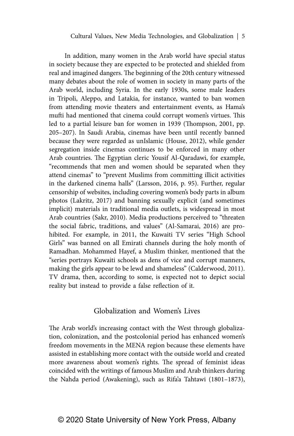In addition, many women in the Arab world have special status in society because they are expected to be protected and shielded from real and imagined dangers. The beginning of the 20th century witnessed many debates about the role of women in society in many parts of the Arab world, including Syria. In the early 1930s, some male leaders in Tripoli, Aleppo, and Latakia, for instance, wanted to ban women from attending movie theaters and entertainment events, as Hama's mufti had mentioned that cinema could corrupt women's virtues. This led to a partial leisure ban for women in 1939 (Thompson, 2001, pp. 205–207). In Saudi Arabia, cinemas have been until recently banned because they were regarded as unIslamic (House, 2012), while gender segregation inside cinemas continues to be enforced in many other Arab countries. The Egyptian cleric Yousif Al-Qaradawi, for example, "recommends that men and women should be separated when they attend cinemas" to "prevent Muslims from committing illicit activities in the darkened cinema halls" (Larsson, 2016, p. 95). Further, regular censorship of websites, including covering women's body parts in album photos (Lakritz, 2017) and banning sexually explicit (and sometimes implicit) materials in traditional media outlets, is widespread in most Arab countries (Sakr, 2010). Media productions perceived to "threaten the social fabric, traditions, and values" (Al-Samarai, 2016) are prohibited. For example, in 2011, the Kuwaiti TV series "High School Girls" was banned on all Emirati channels during the holy month of Ramadhan. Mohammed Hayef, a Muslim thinker, mentioned that the "series portrays Kuwaiti schools as dens of vice and corrupt manners, making the girls appear to be lewd and shameless" (Calderwood, 2011). TV drama, then, according to some, is expected not to depict social reality but instead to provide a false reflection of it.

## Globalization and Women's Lives

The Arab world's increasing contact with the West through globalization, colonization, and the postcolonial period has enhanced women's freedom movements in the MENA region because these elements have assisted in establishing more contact with the outside world and created more awareness about women's rights. The spread of feminist ideas coincided with the writings of famous Muslim and Arab thinkers during the Nahda period (Awakening), such as Rifa'a Tahtawi (1801–1873),

## © 2020 State University of New York Press, Albany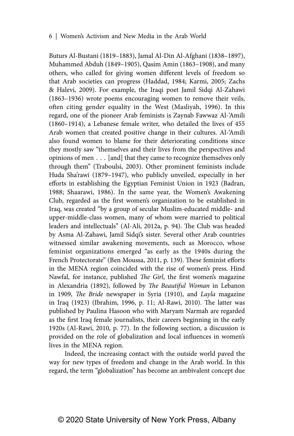Buturs Al-Bustani (1819–1883), Jamal Al-Din Al-Afghani (1838–1897), Muhammed Abduh (1849–1905), Qasim Amin (1863–1908), and many others, who called for giving women different levels of freedom so that Arab societies can progress (Haddad, 1984; Karmi, 2005; Zachs & Halevi, 2009). For example, the Iraqi poet Jamil Sidqi Al-Zahawi (1863–1936) wrote poems encouraging women to remove their veils, often citing gender equality in the West (Masliyah, 1996). In this regard, one of the pioneer Arab feminists is Zaynab Fawwaz Al-'Amili (1860–1914), a Lebanese female writer, who detailed the lives of 455 Arab women that created positive change in their cultures. Al-'Amili also found women to blame for their deteriorating conditions since they mostly saw "themselves and their lives from the perspectives and opinions of men . . . [and] that they came to recognize themselves only through them" (Traboulsi, 2003). Other prominent feminists include Huda Sha'rawi (1879–1947), who publicly unveiled, especially in her efforts in establishing the Egyptian Feminist Union in 1923 (Badran, 1988; Shaarawi, 1986). In the same year, the Women's Awakening Club, regarded as the first women's organization to be established in Iraq, was created "by a group of secular Muslim-educated middle- and upper-middle-class women, many of whom were married to political leaders and intellectuals" (Al-Ali, 2012a, p. 94). The Club was headed by Asma Al-Zahawi, Jamil Sidqi's sister. Several other Arab countries witnessed similar awakening movements, such as Morocco, whose feminist organizations emerged "as early as the 1940s during the French Protectorate" (Ben Moussa, 2011, p. 139). These feminist efforts in the MENA region coincided with the rise of women's press. Hind Nawfal, for instance, published *The Girl*, the first women's magazine in Alexandria (1892), followed by *The Beautiful Woman* in Lebanon in 1909, *The Bride* newspaper in Syria (1910), and *Layla* magazine in Iraq (1923) (Ibrahim, 1996, p. 11; Al-Rawi, 2010). The latter was published by Paulina Hasoon who with Maryam Narmah are regarded as the first Iraq female journalists, their careers beginning in the early 1920s (Al-Rawi, 2010, p. 77). In the following section, a discussion is provided on the role of globalization and local influences in women's lives in the MENA region.

Indeed, the increasing contact with the outside world paved the way for new types of freedom and change in the Arab world. In this regard, the term "globalization" has become an ambivalent concept due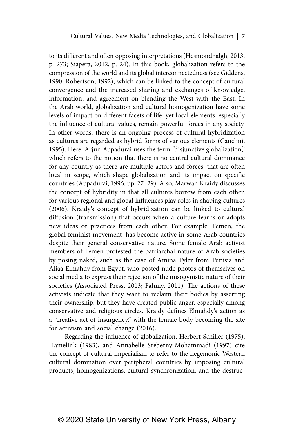to its different and often opposing interpretations (Hesmondhalgh, 2013, p. 273; Siapera, 2012, p. 24). In this book, globalization refers to the compression of the world and its global interconnectedness (see Giddens, 1990; Robertson, 1992), which can be linked to the concept of cultural convergence and the increased sharing and exchanges of knowledge, information, and agreement on blending the West with the East. In the Arab world, globalization and cultural homogenization have some levels of impact on different facets of life, yet local elements, especially the influence of cultural values, remain powerful forces in any society. In other words, there is an ongoing process of cultural hybridization as cultures are regarded as hybrid forms of various elements (Canclini, 1995). Here, Arjun Appadurai uses the term "disjunctive globalization," which refers to the notion that there is no central cultural dominance for any country as there are multiple actors and forces, that are often local in scope, which shape globalization and its impact on specific countries (Appadurai, 1996, pp. 27–29). Also, Marwan Kraidy discusses the concept of hybridity in that all cultures borrow from each other, for various regional and global influences play roles in shaping cultures (2006). Kraidy's concept of hybridization can be linked to cultural diffusion (transmission) that occurs when a culture learns or adopts new ideas or practices from each other. For example, Femen, the global feminist movement, has become active in some Arab countries despite their general conservative nature. Some female Arab activist members of Femen protested the patriarchal nature of Arab societies by posing naked, such as the case of Amina Tyler from Tunisia and Aliaa Elmahdy from Egypt, who posted nude photos of themselves on social media to express their rejection of the misogynistic nature of their societies (Associated Press, 2013; Fahmy, 2011). The actions of these activists indicate that they want to reclaim their bodies by asserting their ownership, but they have created public anger, especially among conservative and religious circles. Kraidy defines Elmahdy's action as a "creative act of insurgency," with the female body becoming the site for activism and social change (2016).

Regarding the influence of globalization, Herbert Schiller (1975), Hamelink (1983), and Annabelle Sreberny-Mohammadi (1997) cite the concept of cultural imperialism to refer to the hegemonic Western cultural domination over peripheral countries by imposing cultural products, homogenizations, cultural synchronization, and the destruc-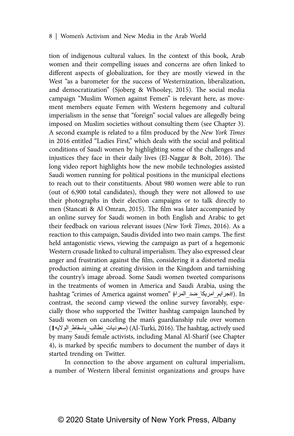tion of indigenous cultural values. In the context of this book, Arab women and their compelling issues and concerns are often linked to different aspects of globalization, for they are mostly viewed in the West "as a barometer for the success of Westernization, liberalization, and democratization" (Sjoberg & Whooley, 2015). The social media campaign "Muslim Women against Femen" is relevant here, as movement members equate Femen with Western hegemony and cultural imperialism in the sense that "foreign" social values are allegedly being imposed on Muslim societies without consulting them (see Chapter 3). A second example is related to a film produced by the *New York Times*  in 2016 entitled "Ladies First," which deals with the social and political conditions of Saudi women by highlighting some of the challenges and injustices they face in their daily lives (El-Naggar & Bolt, 2016). The long video report highlights how the new mobile technologies assisted Saudi women running for political positions in the municipal elections to reach out to their constituents. About 980 women were able to run (out of 6,900 total candidates), though they were not allowed to use their photographs in their election campaigns or to talk directly to men (Stancati & Al Omran, 2015). The film was later accompanied by an online survey for Saudi women in both English and Arabic to get their feedback on various relevant issues (*New York Times*, 2016). As a reaction to this campaign, Saudis divided into two main camps. The first held antagonistic views, viewing the campaign as part of a hegemonic Western crusade linked to cultural imperialism. They also expressed clear anger and frustration against the film, considering it a distorted media production aiming at creating division in the Kingdom and tarnishing the country's image abroad. Some Saudi women tweeted comparisons in the treatments of women in America and Saudi Arabia, using the hashtag "crimes of America against women" (#جرايم\_امريكا\_ضد\_المراه). In contrast, the second camp viewed the online survey favorably, especially those who supported the Twitter hashtag campaign launched by Saudi women on canceling the man's guardianship rule over women (سعوديات\_نطالب\_باسقاط\_الولايه (Al-Turki, 2016). The hashtag, actively used by many Saudi female activists, including Manal Al-Sharif (see Chapter 4), is marked by specific numbers to document the number of days it started trending on Twitter.

In connection to the above argument on cultural imperialism, a number of Western liberal feminist organizations and groups have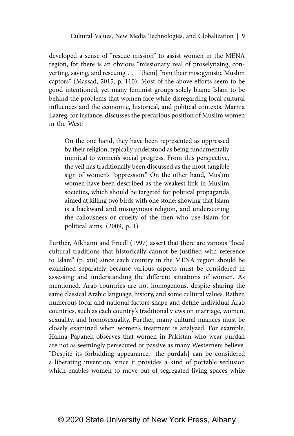developed a sense of "rescue mission" to assist women in the MENA region, for there is an obvious "missionary zeal of proselytizing, converting, saving, and rescuing . . . [them] from their misogynistic Muslim captors" (Massad, 2015, p. 110). Most of the above efforts seem to be good intentioned, yet many feminist groups solely blame Islam to be behind the problems that women face while disregarding local cultural influences and the economic, historical, and political contexts. Marnia Lazreg, for instance, discusses the precarious position of Muslim women in the West:

On the one hand, they have been represented as oppressed by their religion, typically understood as being fundamentally inimical to women's social progress. From this perspective, the veil has traditionally been discussed as the most tangible sign of women's "oppression." On the other hand, Muslim women have been described as the weakest link in Muslim societies, which should be targeted for political propaganda aimed at killing two birds with one stone: showing that Islam is a backward and misogynous religion, and underscoring the callousness or cruelty of the men who use Islam for political aims. (2009, p. 1)

Further, Afkhami and Friedl (1997) assert that there are various "local cultural traditions that historically cannot be justified with reference to Islam" (p. xiii) since each country in the MENA region should be examined separately because various aspects must be considered in assessing and understanding the different situations of women. As mentioned, Arab countries are not homogenous, despite sharing the same classical Arabic language, history, and some cultural values. Rather, numerous local and national factors shape and define individual Arab countries, such as each country's traditional views on marriage, women, sexuality, and homosexuality. Further, many cultural nuances must be closely examined when women's treatment is analyzed. For example, Hanna Papanek observes that women in Pakistan who wear purdah are not as seemingly persecuted or passive as many Westerners believe. "Despite its forbidding appearance, [the purdah] can be considered a liberating invention, since it provides a kind of portable seclusion which enables women to move out of segregated living spaces while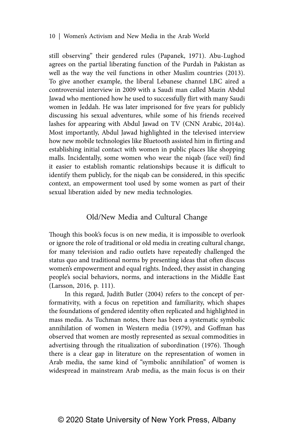still observing" their gendered rules (Papanek, 1971). Abu-Lughod agrees on the partial liberating function of the Purdah in Pakistan as well as the way the veil functions in other Muslim countries (2013). To give another example, the liberal Lebanese channel LBC aired a controversial interview in 2009 with a Saudi man called Mazin Abdul Jawad who mentioned how he used to successfully flirt with many Saudi women in Jeddah. He was later imprisoned for five years for publicly discussing his sexual adventures, while some of his friends received lashes for appearing with Abdul Jawad on TV (CNN Arabic, 2014a). Most importantly, Abdul Jawad highlighted in the televised interview how new mobile technologies like Bluetooth assisted him in flirting and establishing initial contact with women in public places like shopping malls. Incidentally, some women who wear the niqab (face veil) find it easier to establish romantic relationships because it is difficult to identify them publicly, for the niqab can be considered, in this specific context, an empowerment tool used by some women as part of their sexual liberation aided by new media technologies.

## Old/New Media and Cultural Change

Though this book's focus is on new media, it is impossible to overlook or ignore the role of traditional or old media in creating cultural change, for many television and radio outlets have repeatedly challenged the status quo and traditional norms by presenting ideas that often discuss women's empowerment and equal rights. Indeed, they assist in changing people's social behaviors, norms, and interactions in the Middle East (Larsson, 2016, p. 111).

In this regard, Judith Butler (2004) refers to the concept of performativity, with a focus on repetition and familiarity, which shapes the foundations of gendered identity often replicated and highlighted in mass media. As Tuchman notes, there has been a systematic symbolic annihilation of women in Western media (1979), and Goffman has observed that women are mostly represented as sexual commodities in advertising through the ritualization of subordination (1976). Though there is a clear gap in literature on the representation of women in Arab media, the same kind of "symbolic annihilation" of women is widespread in mainstream Arab media, as the main focus is on their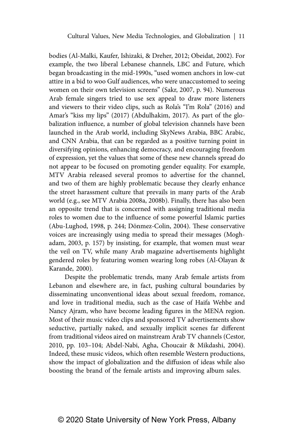bodies (Al-Malki, Kaufer, Ishizaki, & Dreher, 2012; Obeidat, 2002). For example, the two liberal Lebanese channels, LBC and Future, which began broadcasting in the mid-1990s, "used women anchors in low-cut attire in a bid to woo Gulf audiences, who were unaccustomed to seeing women on their own television screens" (Sakr, 2007, p. 94). Numerous Arab female singers tried to use sex appeal to draw more listeners and viewers to their video clips, such as Rola's "I'm Rola" (2016) and Amar's "kiss my lips" (2017) (Abdulhakim, 2017). As part of the globalization influence, a number of global television channels have been launched in the Arab world, including SkyNews Arabia, BBC Arabic, and CNN Arabia, that can be regarded as a positive turning point in diversifying opinions, enhancing democracy, and encouraging freedom of expression, yet the values that some of these new channels spread do not appear to be focused on promoting gender equality. For example, MTV Arabia released several promos to advertise for the channel, and two of them are highly problematic because they clearly enhance the street harassment culture that prevails in many parts of the Arab world (e.g., see MTV Arabia 2008a, 2008b). Finally, there has also been an opposite trend that is concerned with assigning traditional media roles to women due to the influence of some powerful Islamic parties (Abu-Lughod, 1998, p. 244; Dönmez-Colin, 2004). These conservative voices are increasingly using media to spread their messages (Moghadam, 2003, p. 157) by insisting, for example, that women must wear the veil on TV, while many Arab magazine advertisements highlight gendered roles by featuring women wearing long robes (Al-Olayan & Karande, 2000).

Despite the problematic trends, many Arab female artists from Lebanon and elsewhere are, in fact, pushing cultural boundaries by disseminating unconventional ideas about sexual freedom, romance, and love in traditional media, such as the case of Haifa Wehbe and Nancy Ajram, who have become leading figures in the MENA region. Most of their music video clips and sponsored TV advertisements show seductive, partially naked, and sexually implicit scenes far different from traditional videos aired on mainstream Arab TV channels (Cestor, 2010, pp. 103–104; Abdel-Nabi, Agha, Choucair & Mikdashi, 2004). Indeed, these music videos, which often resemble Western productions, show the impact of globalization and the diffusion of ideas while also boosting the brand of the female artists and improving album sales.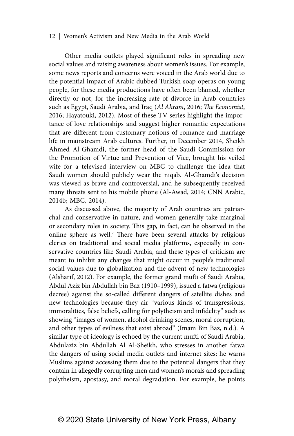Other media outlets played significant roles in spreading new social values and raising awareness about women's issues. For example, some news reports and concerns were voiced in the Arab world due to the potential impact of Arabic dubbed Turkish soap operas on young people, for these media productions have often been blamed, whether directly or not, for the increasing rate of divorce in Arab countries such as Egypt, Saudi Arabia, and Iraq (*Al Ahram*, 2016; *The Economist*, 2016; Hayatouki, 2012). Most of these TV series highlight the importance of love relationships and suggest higher romantic expectations that are different from customary notions of romance and marriage life in mainstream Arab cultures. Further, in December 2014, Sheikh Ahmed Al-Ghamdi, the former head of the Saudi Commission for the Promotion of Virtue and Prevention of Vice, brought his veiled wife for a televised interview on MBC to challenge the idea that Saudi women should publicly wear the niqab. Al-Ghamdi's decision was viewed as brave and controversial, and he subsequently received many threats sent to his mobile phone (Al-Awad, 2014; CNN Arabic, 2014b; MBC, 2014).<sup>1</sup>

As discussed above, the majority of Arab countries are patriarchal and conservative in nature, and women generally take marginal or secondary roles in society. This gap, in fact, can be observed in the online sphere as well.<sup>2</sup> There have been several attacks by religious clerics on traditional and social media platforms, especially in conservative countries like Saudi Arabia, and these types of criticism are meant to inhibit any changes that might occur in people's traditional social values due to globalization and the advent of new technologies (Alsharif, 2012). For example, the former grand mufti of Saudi Arabia, Abdul Aziz bin Abdullah bin Baz (1910–1999), issued a fatwa (religious decree) against the so-called different dangers of satellite dishes and new technologies because they air "various kinds of transgressions, immoralities, false beliefs, calling for polytheism and infidelity" such as showing "images of women, alcohol drinking scenes, moral corruption, and other types of evilness that exist abroad" (Imam Bin Baz, n.d.). A similar type of ideology is echoed by the current mufti of Saudi Arabia, Abdulaziz bin Abdullah Al Al-Sheikh, who stresses in another fatwa the dangers of using social media outlets and internet sites; he warns Muslims against accessing them due to the potential dangers that they contain in allegedly corrupting men and women's morals and spreading polytheism, apostasy, and moral degradation. For example, he points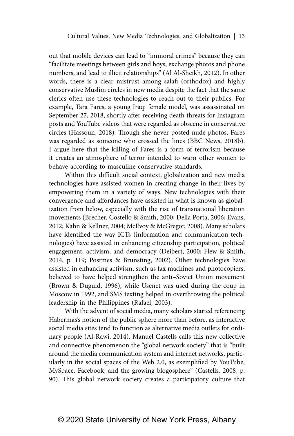out that mobile devices can lead to "immoral crimes" because they can "facilitate meetings between girls and boys, exchange photos and phone numbers, and lead to illicit relationships" (Al Al-Sheikh, 2012). In other words, there is a clear mistrust among salafi (orthodox) and highly conservative Muslim circles in new media despite the fact that the same clerics often use these technologies to reach out to their publics. For example, Tara Fares, a young Iraqi female model, was assassinated on September 27, 2018, shortly after receiving death threats for Instagram posts and YouTube videos that were regarded as obscene in conservative circles (Hassoun, 2018). Though she never posted nude photos, Fares was regarded as someone who crossed the lines (BBC News, 2018b). I argue here that the killing of Fares is a form of terrorism because it creates an atmosphere of terror intended to warn other women to behave according to masculine conservative standards.

Within this difficult social context, globalization and new media technologies have assisted women in creating change in their lives by empowering them in a variety of ways. New technologies with their convergence and affordances have assisted in what is known as globalization from below, especially with the rise of transnational liberation movements (Brecher, Costello & Smith, 2000; Della Porta, 2006; Evans, 2012; Kahn & Kellner, 2004; McEvoy & McGregor, 2008). Many scholars have identified the way ICTs (information and communication technologies) have assisted in enhancing citizenship participation, political engagement, activism, and democracy (Deibert, 2000; Flew & Smith, 2014, p. 119; Postmes & Brunsting, 2002). Other technologies have assisted in enhancing activism, such as fax machines and photocopiers, believed to have helped strengthen the anti–Soviet Union movement (Brown & Duguid, 1996), while Usenet was used during the coup in Moscow in 1992, and SMS texting helped in overthrowing the political leadership in the Philippines (Rafael, 2003).

With the advent of social media, many scholars started referencing Habermas's notion of the public sphere more than before, as interactive social media sites tend to function as alternative media outlets for ordinary people (Al-Rawi, 2014). Manuel Castells calls this new collective and connective phenomenon the "global network society" that is "built around the media communication system and internet networks, particularly in the social spaces of the Web 2.0, as exemplified by YouTube, MySpace, Facebook, and the growing blogosphere" (Castells, 2008, p. 90). This global network society creates a participatory culture that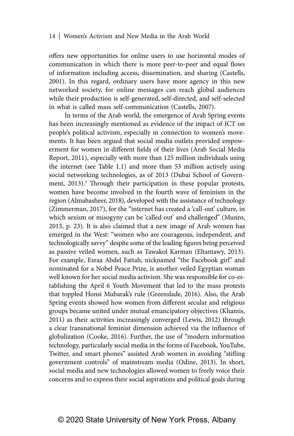offers new opportunities for online users to use horizontal modes of communication in which there is more peer-to-peer and equal flows of information including access, dissemination, and sharing (Castells, 2001). In this regard, ordinary users have more agency in this new networked society, for online messages can reach global audiences while their production is self-generated, self-directed, and self-selected in what is called mass self-communication (Castells, 2007).

In terms of the Arab world, the emergence of Arab Spring events has been increasingly mentioned as evidence of the impact of ICT on people's political activism, especially in connection to women's movements. It has been argued that social media outlets provided empowerment for women in different fields of their lives (Arab Social Media Report, 2011), especially with more than 125 million individuals using the internet (see Table 1.1) and more than 53 million actively using social networking technologies, as of 2013 (Dubai School of Government, 2013).<sup>3</sup> Through their participation in these popular protests, women have become involved in the fourth wave of feminism in the region (Almahasheer, 2018), developed with the assistance of technology (Zimmerman, 2017), for the "internet has created a 'call-out' culture, in which sexism or misogyny can be 'called out' and challenged" (Munro, 2013, p. 23). It is also claimed that a new image of Arab women has emerged in the West: "women who are courageous, independent, and technologically savvy" despite some of the leading figures being perceived as passive veiled women, such as Tawakol Karman (Eltantawy, 2013). For example, Esraa Abdel Fattah, nicknamed "the Facebook girl" and nominated for a Nobel Peace Prize, is another veiled Egyptian woman well known for her social media activism. She was responsible for co-establishing the April 6 Youth Movement that led to the mass protests that toppled Honsi Mubarak's rule (Greenslade, 2016). Also, the Arab Spring events showed how women from different secular and religious groups became united under mutual emancipatory objectives (Khamis, 2011) as their activities increasingly converged (Lewis, 2012) through a clear transnational feminist dimension achieved via the influence of globalization (Cooke, 2016). Further, the use of "modern information technology, particularly social media in the forms of Facebook, YouTube, Twitter, and smart phones" assisted Arab women in avoiding "stifling government controls" of mainstream media (Odine, 2013). In short, social media and new technologies allowed women to freely voice their concerns and to express their social aspirations and political goals during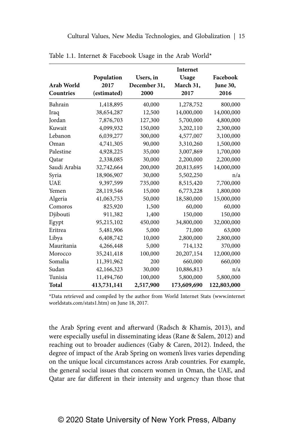|              |             |              | Internet    |             |
|--------------|-------------|--------------|-------------|-------------|
|              | Population  | Users, in    | Usage       | Facebook    |
| Arab World   | 2017        | December 31, | March 31,   | June 30,    |
| Countries    | (estimated) | 2000         | 2017        | 2016        |
| Bahrain      | 1,418,895   | 40,000       | 1,278,752   | 800,000     |
| Iraq         | 38,654,287  | 12,500       | 14,000,000  | 14,000,000  |
| Jordan       | 7,876,703   | 127,300      | 5,700,000   | 4,800,000   |
| Kuwait       | 4,099,932   | 150,000      | 3,202,110   | 2,300,000   |
| Lebanon      | 6,039,277   | 300,000      | 4,577,007   | 3,100,000   |
| Oman         | 4,741,305   | 90,000       | 3,310,260   | 1,500,000   |
| Palestine    | 4,928,225   | 35,000       | 3,007,869   | 1,700,000   |
| Qatar        | 2,338,085   | 30,000       | 2,200,000   | 2,200,000   |
| Saudi Arabia | 32,742,664  | 200,000      | 20,813,695  | 14,000,000  |
| Syria        | 18,906,907  | 30,000       | 5,502,250   | n/a         |
| <b>UAE</b>   | 9,397,599   | 735,000      | 8,515,420   | 7,700,000   |
| Yemen        | 28,119,546  | 15,000       | 6,773,228   | 1,800,000   |
| Algeria      | 41,063,753  | 50,000       | 18,580,000  | 15,000,000  |
| Comoros      | 825,920     | 1,500        | 60,000      | 60,000      |
| Djibouti     | 911,382     | 1,400        | 150,000     | 150,000     |
| Egypt        | 95,215,102  | 450,000      | 34,800,000  | 32,000,000  |
| Eritrea      | 5,481,906   | 5,000        | 71,000      | 63,000      |
| Libya        | 6,408,742   | 10,000       | 2,800,000   | 2,800,000   |
| Mauritania   | 4,266,448   | 5,000        | 714,132     | 370,000     |
| Morocco      | 35,241,418  | 100,000      | 20,207,154  | 12,000,000  |
| Somalia      | 11,391,962  | 200          | 660,000     | 660,000     |
| Sudan        | 42,166,323  | 30,000       | 10,886,813  | n/a         |
| Tunisia      | 11,494,760  | 100,000      | 5,800,000   | 5,800,000   |
| Total        | 413,731,141 | 2,517,900    | 173,609,690 | 122,803,000 |

Table 1.1. Internet & Facebook Usage in the Arab World\*

\*Data retrieved and compiled by the author from World Internet Stats (www.internet worldstats.com/stats1.htm) on June 18, 2017.

the Arab Spring event and afterward (Radsch & Khamis, 2013), and were especially useful in disseminating ideas (Rane & Salem, 2012) and reaching out to broader audiences (Gaby & Caren, 2012). Indeed, the degree of impact of the Arab Spring on women's lives varies depending on the unique local circumstances across Arab countries. For example, the general social issues that concern women in Oman, the UAE, and Qatar are far different in their intensity and urgency than those that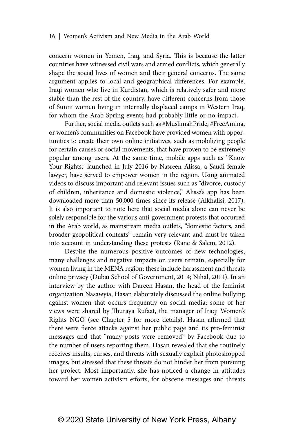concern women in Yemen, Iraq, and Syria. This is because the latter countries have witnessed civil wars and armed conflicts, which generally shape the social lives of women and their general concerns. The same argument applies to local and geographical differences. For example, Iraqi women who live in Kurdistan, which is relatively safer and more stable than the rest of the country, have different concerns from those of Sunni women living in internally displaced camps in Western Iraq, for whom the Arab Spring events had probably little or no impact.

Further, social media outlets such as #MuslimahPride, #FreeAmina, or women's communities on Facebook have provided women with opportunities to create their own online initiatives, such as mobilizing people for certain causes or social movements, that have proven to be extremely popular among users. At the same time, mobile apps such as "Know Your Rights," launched in July 2016 by Nasreen Alissa, a Saudi female lawyer, have served to empower women in the region. Using animated videos to discuss important and relevant issues such as "divorce, custody of children, inheritance and domestic violence," Alissa's app has been downloaded more than 50,000 times since its release (Alkhalisi, 2017). It is also important to note here that social media alone can never be solely responsible for the various anti-government protests that occurred in the Arab world, as mainstream media outlets, "domestic factors, and broader geopolitical contexts" remain very relevant and must be taken into account in understanding these protests (Rane & Salem, 2012).

Despite the numerous positive outcomes of new technologies, many challenges and negative impacts on users remain, especially for women living in the MENA region; these include harassment and threats online privacy (Dubai School of Government, 2014; Nihal, 2011). In an interview by the author with Dareen Hasan, the head of the feminist organization Nasawyia, Hasan elaborately discussed the online bullying against women that occurs frequently on social media; some of her views were shared by Thuraya Rufaat, the manager of Iraqi Women's Rights NGO (see Chapter 5 for more details). Hasan affirmed that there were fierce attacks against her public page and its pro-feminist messages and that "many posts were removed" by Facebook due to the number of users reporting them. Hasan revealed that she routinely receives insults, curses, and threats with sexually explicit photoshopped images, but stressed that these threats do not hinder her from pursuing her project. Most importantly, she has noticed a change in attitudes toward her women activism efforts, for obscene messages and threats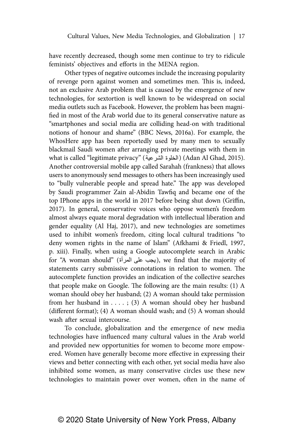have recently decreased, though some men continue to try to ridicule feminists' objectives and efforts in the MENA region.

Other types of negative outcomes include the increasing popularity of revenge porn against women and sometimes men. This is, indeed, not an exclusive Arab problem that is caused by the emergence of new technologies, for sextortion is well known to be widespread on social media outlets such as Facebook. However, the problem has been magnified in most of the Arab world due to its general conservative nature as "smartphones and social media are colliding head-on with traditional notions of honour and shame" (BBC News, 2016a). For example, the WhosHere app has been reportedly used by many men to sexually blackmail Saudi women after arranging private meetings with them in what is called "legitimate privacy" (المخلوة الشرعية) (Adan Al Ghad, 2015). Another controversial mobile app called Sarahah (frankness) that allows users to anonymously send messages to others has been increasingly used to "bully vulnerable people and spread hate." The app was developed by Saudi programmer Zain al-Abidin Tawfiq and became one of the top IPhone apps in the world in 2017 before being shut down (Griffin, 2017). In general, conservative voices who oppose women's freedom almost always equate moral degradation with intellectual liberation and gender equality (Al Haj, 2017), and new technologies are sometimes used to inhibit women's freedom, citing local cultural traditions "to deny women rights in the name of Islam" (Afkhami & Friedl, 1997, p. xiii). Finally, when using a Google autocomplete search in Arabic for "A woman should" (بجب على المرأة), we find that the majority of statements carry submissive connotations in relation to women. The autocomplete function provides an indication of the collective searches that people make on Google. The following are the main results: (1) A woman should obey her husband; (2) A woman should take permission from her husband in . . . . ; (3) A woman should obey her husband (different format); (4) A woman should wash; and (5) A woman should wash after sexual intercourse.

To conclude, globalization and the emergence of new media technologies have influenced many cultural values in the Arab world and provided new opportunities for women to become more empowered. Women have generally become more effective in expressing their views and better connecting with each other, yet social media have also inhibited some women, as many conservative circles use these new technologies to maintain power over women, often in the name of